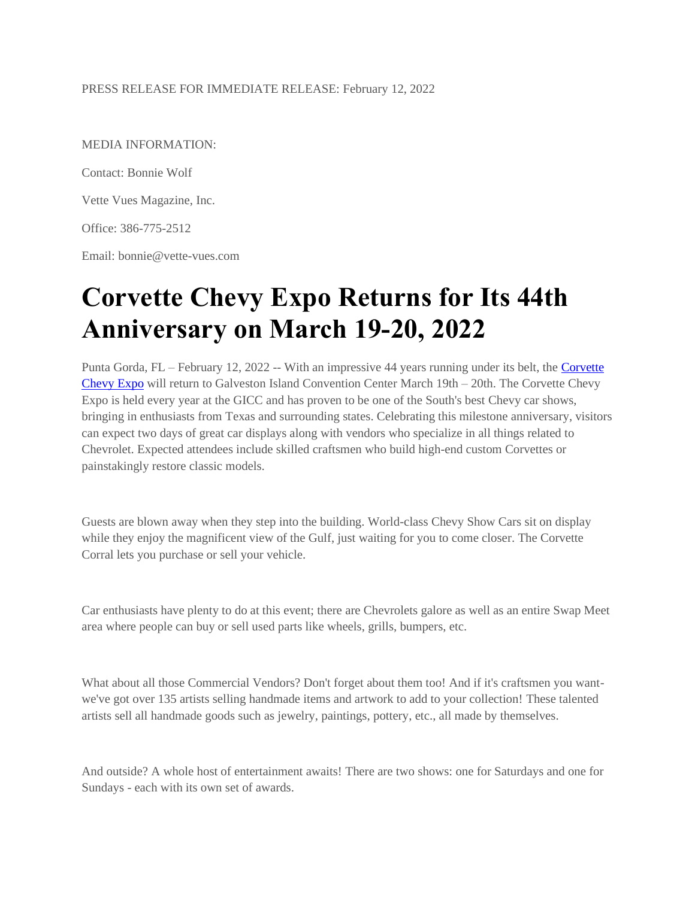### PRESS RELEASE FOR IMMEDIATE RELEASE: February 12, 2022

MEDIA INFORMATION:

Contact: Bonnie Wolf

Vette Vues Magazine, Inc.

Office: 386-775-2512

Email: bonnie@vette-vues.com

# **Corvette Chevy Expo Returns for Its 44th Anniversary on March 19-20, 2022**

Punta Gorda, FL – February 12, 2022 -- With an impressive 44 years running under its belt, the [Corvette](https://corvettechevyexpo.com/)  [Chevy Expo](https://corvettechevyexpo.com/) will return to Galveston Island Convention Center March  $19th - 20th$ . The Corvette Chevy Expo is held every year at the GICC and has proven to be one of the South's best Chevy car shows, bringing in enthusiasts from Texas and surrounding states. Celebrating this milestone anniversary, visitors can expect two days of great car displays along with vendors who specialize in all things related to Chevrolet. Expected attendees include skilled craftsmen who build high-end custom Corvettes or painstakingly restore classic models.

Guests are blown away when they step into the building. World-class Chevy Show Cars sit on display while they enjoy the magnificent view of the Gulf, just waiting for you to come closer. The Corvette Corral lets you purchase or sell your vehicle.

Car enthusiasts have plenty to do at this event; there are Chevrolets galore as well as an entire Swap Meet area where people can buy or sell used parts like wheels, grills, bumpers, etc.

What about all those Commercial Vendors? Don't forget about them too! And if it's craftsmen you wantwe've got over 135 artists selling handmade items and artwork to add to your collection! These talented artists sell all handmade goods such as jewelry, paintings, pottery, etc., all made by themselves.

And outside? A whole host of entertainment awaits! There are two shows: one for Saturdays and one for Sundays - each with its own set of awards.